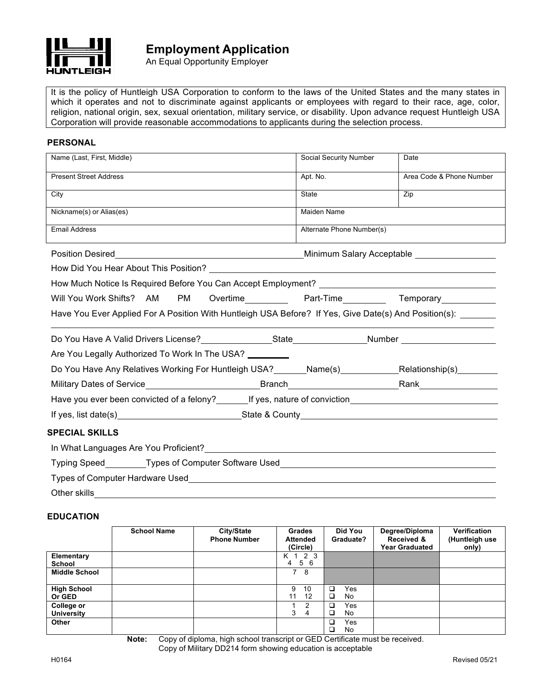

An Equal Opportunity Employer

It is the policy of Huntleigh USA Corporation to conform to the laws of the United States and the many states in which it operates and not to discriminate against applicants or employees with regard to their race, age, color, religion, national origin, sex, sexual orientation, military service, or disability. Upon advance request Huntleigh USA Corporation will provide reasonable accommodations to applicants during the selection process.

## **PERSONAL**

| Name (Last, First, Middle)                                                                                          | Social Security Number    | Date                      |  |  |
|---------------------------------------------------------------------------------------------------------------------|---------------------------|---------------------------|--|--|
| <b>Present Street Address</b>                                                                                       | Apt. No.                  | Area Code & Phone Number  |  |  |
| City                                                                                                                | State                     | Zip                       |  |  |
| Nickname(s) or Alias(es)                                                                                            | Maiden Name               |                           |  |  |
| <b>Email Address</b>                                                                                                | Alternate Phone Number(s) |                           |  |  |
| Position Desired                                                                                                    |                           | Minimum Salary Acceptable |  |  |
|                                                                                                                     |                           |                           |  |  |
| How Much Notice Is Required Before You Can Accept Employment? [198] [2001] [2002] [2002] [2002] [2003] [2003]       |                           |                           |  |  |
| PM Overtime____________ Part-Time____________ Temporary_____________<br>Will You Work Shifts? AM                    |                           |                           |  |  |
| Have You Ever Applied For A Position With Huntleigh USA Before? If Yes, Give Date(s) And Position(s):               |                           |                           |  |  |
|                                                                                                                     |                           |                           |  |  |
| Are You Legally Authorized To Work In The USA? ________                                                             |                           |                           |  |  |
| Do You Have Any Relatives Working For Huntleigh USA? _______Name(s) _____________Relationship(s) ________           |                           |                           |  |  |
|                                                                                                                     |                           |                           |  |  |
| Have you ever been convicted of a felony?_________If yes, nature of conviction________________________________      |                           |                           |  |  |
|                                                                                                                     |                           |                           |  |  |
| <b>SPECIAL SKILLS</b>                                                                                               |                           |                           |  |  |
| In What Languages Are You Proficient? The control of the control of the control of the control of the control o     |                           |                           |  |  |
|                                                                                                                     |                           |                           |  |  |
| Types of Computer Hardware Used National Community of the Community of Computer Research of the Community of the Co |                           |                           |  |  |
| Other skills                                                                                                        |                           |                           |  |  |

## **EDUCATION**

|                                 | <b>School Name</b> | City/State<br><b>Phone Number</b> | <b>Grades</b><br><b>Attended</b><br>(Circle) | Did You<br>Graduate?      | Degree/Diploma<br>Received &<br><b>Year Graduated</b> | Verification<br>(Huntleigh use<br>only) |
|---------------------------------|--------------------|-----------------------------------|----------------------------------------------|---------------------------|-------------------------------------------------------|-----------------------------------------|
| Elementary                      |                    |                                   | 2 3<br>K 1                                   |                           |                                                       |                                         |
| <b>School</b>                   |                    |                                   | 5 6<br>4                                     |                           |                                                       |                                         |
| <b>Middle School</b>            |                    |                                   | $\overline{7}$<br>8                          |                           |                                                       |                                         |
| <b>High School</b><br>Or GED    |                    |                                   | 9<br>10<br>12<br>11                          | $\Box$<br>Yes<br>□<br>No. |                                                       |                                         |
| College or<br><b>University</b> |                    |                                   | 2<br>3<br>4                                  | □<br>Yes<br>□<br>No.      |                                                       |                                         |
| Other                           |                    |                                   |                                              | □<br>Yes<br>□<br>No       |                                                       |                                         |

**Note:** Copy of diploma, high school transcript or GED Certificate must be received. Copy of Military DD214 form showing education is acceptable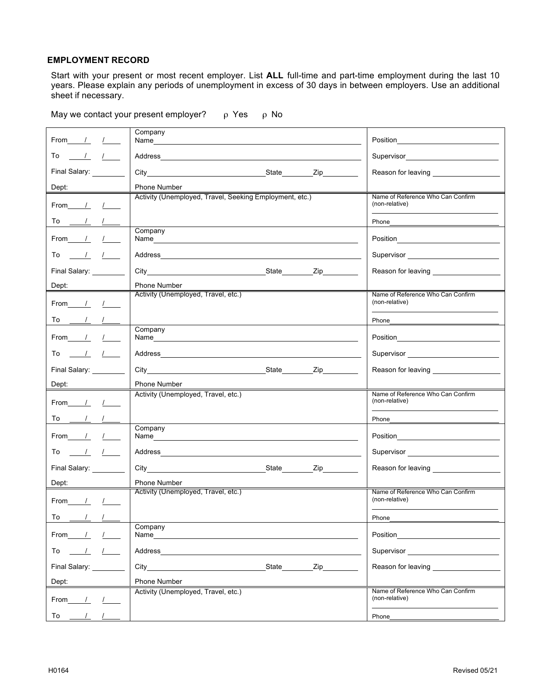## **EMPLOYMENT RECORD**

Start with your present or most recent employer. List **ALL** full-time and part-time employment during the last 10 years. Please explain any periods of unemployment in excess of 30 days in between employers. Use an additional sheet if necessary.

| From                                | Company<br>Name and the state of the state of the state of the state of the state of the state of the state of the state of the state of the state of the state of the state of the state of the state of the state of the state of the s   | Position                                                                                                                         |
|-------------------------------------|---------------------------------------------------------------------------------------------------------------------------------------------------------------------------------------------------------------------------------------------|----------------------------------------------------------------------------------------------------------------------------------|
|                                     |                                                                                                                                                                                                                                             |                                                                                                                                  |
| To<br>$\frac{1}{2}$<br>$\sqrt{2}$   |                                                                                                                                                                                                                                             |                                                                                                                                  |
| Final Salary:                       | City City City City City                                                                                                                                                                                                                    | Reason for leaving <b>Example 20</b>                                                                                             |
| Dept:                               | <b>Phone Number</b>                                                                                                                                                                                                                         |                                                                                                                                  |
| From /                              | Activity (Unemployed, Travel, Seeking Employment, etc.)                                                                                                                                                                                     | Name of Reference Who Can Confirm<br>(non-relative)                                                                              |
| $\sqrt{2}$                          |                                                                                                                                                                                                                                             | Phone                                                                                                                            |
| From<br>$\sqrt{2}$                  | Company<br>Name                                                                                                                                                                                                                             | Position <u>___________________</u>                                                                                              |
| To<br>$\sqrt{2}$                    |                                                                                                                                                                                                                                             |                                                                                                                                  |
| Final Salary:                       |                                                                                                                                                                                                                                             | Reason for leaving <b>Example 20</b>                                                                                             |
| Dept:                               | <b>Phone Number</b>                                                                                                                                                                                                                         |                                                                                                                                  |
| From<br>$\sqrt{2}$                  | Activity (Unemployed, Travel, etc.)                                                                                                                                                                                                         | Name of Reference Who Can Confirm<br>(non-relative)                                                                              |
| To                                  |                                                                                                                                                                                                                                             | Phone                                                                                                                            |
| From<br>$\frac{1}{2}$               | Company                                                                                                                                                                                                                                     | Position<br><u> 1989 - Jan Stein Stein Stein Stein Stein Stein Stein Stein Stein Stein Stein Stein Stein Stein Stein Stein S</u> |
| To<br>$\prime$                      |                                                                                                                                                                                                                                             |                                                                                                                                  |
| Final Salary:                       | State Zip<br>City the contract of the contract of the contract of the contract of the contract of the contract of the contract of the contract of the contract of the contract of the contract of the contract of the contract of the contr | Reason for leaving <b>Example 20</b>                                                                                             |
| Dept:                               | <b>Phone Number</b>                                                                                                                                                                                                                         |                                                                                                                                  |
| From<br>$\frac{1}{2}$               | Activity (Unemployed, Travel, etc.)                                                                                                                                                                                                         | Name of Reference Who Can Confirm<br>(non-relative)                                                                              |
| To $\qquad \qquad \_$<br>$\sqrt{1}$ |                                                                                                                                                                                                                                             | Phone                                                                                                                            |
| From<br>$\sqrt{2}$                  | Company<br>Name and the contract of the contract of the contract of the contract of the contract of the contract of the contract of the contract of the contract of the contract of the contract of the contract of the contract of the c   | Position <u>________________________________</u>                                                                                 |
| $\sqrt{2}$<br>To                    |                                                                                                                                                                                                                                             |                                                                                                                                  |
| Final Salary:                       | City City City City City                                                                                                                                                                                                                    | Reason for leaving <b>Example 20</b>                                                                                             |
| Dept:                               | <b>Phone Number</b>                                                                                                                                                                                                                         |                                                                                                                                  |
| From<br>$I_{-}$                     | Activity (Unemployed, Travel, etc.)                                                                                                                                                                                                         | Name of Reference Who Can Confirm<br>(non-relative)                                                                              |
| To<br>$\frac{1}{2}$                 |                                                                                                                                                                                                                                             | Phone                                                                                                                            |
| From<br>$\prime$                    | Company<br>Name                                                                                                                                                                                                                             | Position                                                                                                                         |
| To<br>$\overline{1}$<br>$\prime$    | Address                                                                                                                                                                                                                                     | Supervisor <b>Supervisor Supervisor</b>                                                                                          |
| Final Salary:                       | State<br>Zip<br>City                                                                                                                                                                                                                        | Reason for leaving                                                                                                               |
| Dept:                               | <b>Phone Number</b>                                                                                                                                                                                                                         |                                                                                                                                  |
| From<br>$\prime$                    | Activity (Unemployed, Travel, etc.)                                                                                                                                                                                                         | Name of Reference Who Can Confirm<br>(non-relative)                                                                              |
| $\prime$<br>To<br>$\prime$          |                                                                                                                                                                                                                                             | Phone                                                                                                                            |

May we contact your present employer?  $\rho$  Yes  $\rho$  No